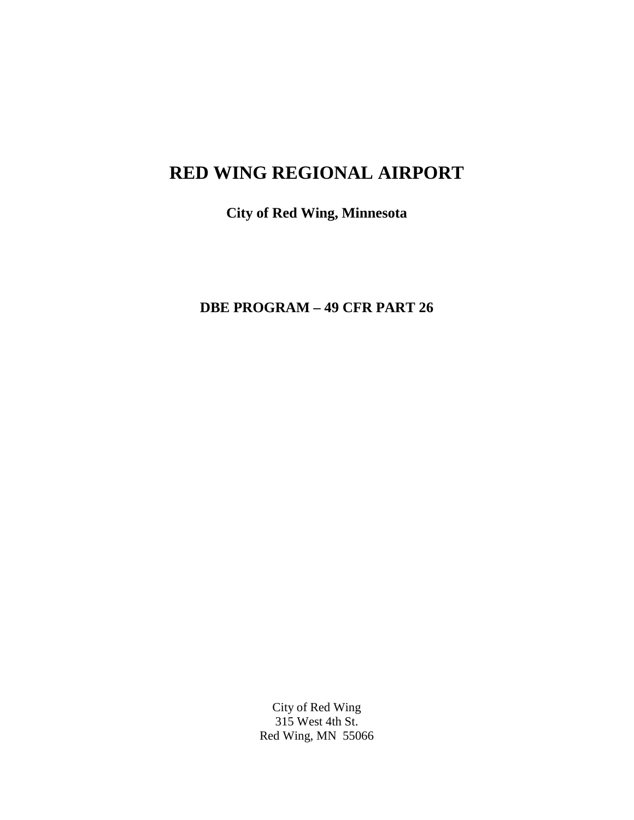# **RED WING REGIONAL AIRPORT**

**City of Red Wing, Minnesota**

**DBE PROGRAM – 49 CFR PART 26**

City of Red Wing 315 West 4th St. Red Wing, MN 55066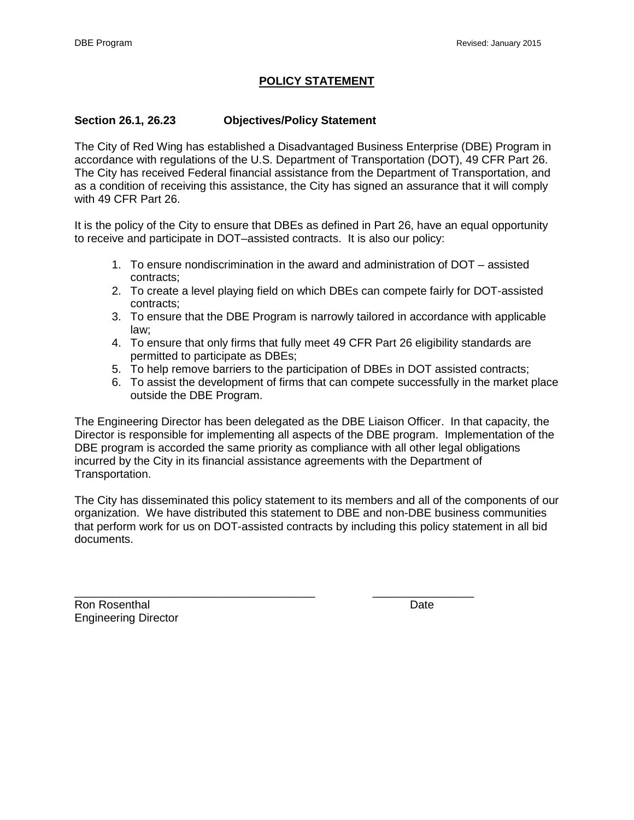# **POLICY STATEMENT**

# **Section 26.1, 26.23 Objectives/Policy Statement**

The City of Red Wing has established a Disadvantaged Business Enterprise (DBE) Program in accordance with regulations of the U.S. Department of Transportation (DOT), 49 CFR Part 26. The City has received Federal financial assistance from the Department of Transportation, and as a condition of receiving this assistance, the City has signed an assurance that it will comply with 49 CFR Part 26.

It is the policy of the City to ensure that DBEs as defined in Part 26, have an equal opportunity to receive and participate in DOT–assisted contracts. It is also our policy:

- 1. To ensure nondiscrimination in the award and administration of DOT assisted contracts;
- 2. To create a level playing field on which DBEs can compete fairly for DOT-assisted contracts;
- 3. To ensure that the DBE Program is narrowly tailored in accordance with applicable law;
- 4. To ensure that only firms that fully meet 49 CFR Part 26 eligibility standards are permitted to participate as DBEs;
- 5. To help remove barriers to the participation of DBEs in DOT assisted contracts;
- 6. To assist the development of firms that can compete successfully in the market place outside the DBE Program.

The Engineering Director has been delegated as the DBE Liaison Officer. In that capacity, the Director is responsible for implementing all aspects of the DBE program. Implementation of the DBE program is accorded the same priority as compliance with all other legal obligations incurred by the City in its financial assistance agreements with the Department of Transportation.

The City has disseminated this policy statement to its members and all of the components of our organization. We have distributed this statement to DBE and non-DBE business communities that perform work for us on DOT-assisted contracts by including this policy statement in all bid documents.

\_\_\_\_\_\_\_\_\_\_\_\_\_\_\_\_\_\_\_\_\_\_\_\_\_\_\_\_\_\_\_\_\_\_\_\_\_\_ \_\_\_\_\_\_\_\_\_\_\_\_\_\_\_\_ Ron Rosenthal **Route 2006 Date Date Date Date** Engineering Director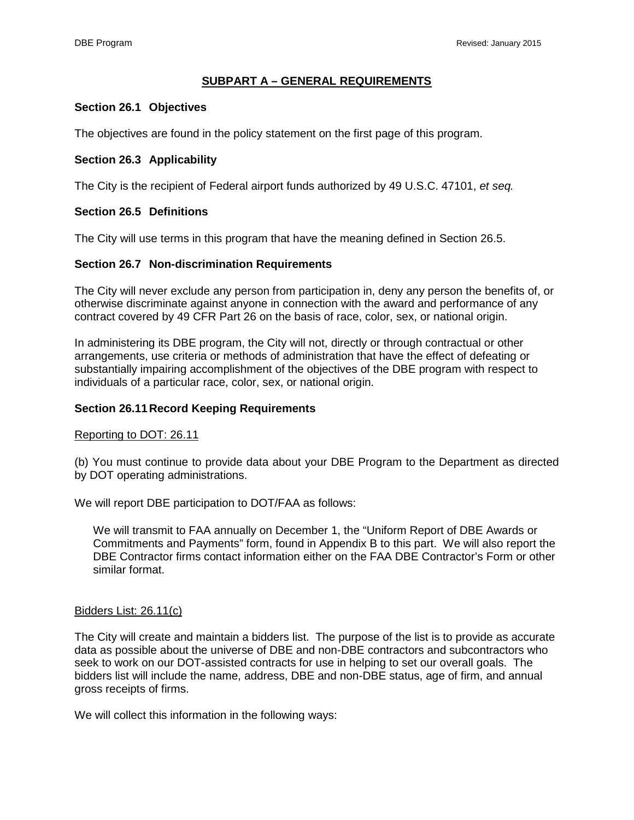# **SUBPART A – GENERAL REQUIREMENTS**

### **Section 26.1 Objectives**

The objectives are found in the policy statement on the first page of this program.

### **Section 26.3 Applicability**

The City is the recipient of Federal airport funds authorized by 49 U.S.C. 47101, *et seq.* 

## **Section 26.5 Definitions**

The City will use terms in this program that have the meaning defined in Section 26.5.

### **Section 26.7 Non-discrimination Requirements**

The City will never exclude any person from participation in, deny any person the benefits of, or otherwise discriminate against anyone in connection with the award and performance of any contract covered by 49 CFR Part 26 on the basis of race, color, sex, or national origin.

In administering its DBE program, the City will not, directly or through contractual or other arrangements, use criteria or methods of administration that have the effect of defeating or substantially impairing accomplishment of the objectives of the DBE program with respect to individuals of a particular race, color, sex, or national origin.

#### **Section 26.11Record Keeping Requirements**

#### Reporting to DOT: 26.11

(b) You must continue to provide data about your DBE Program to the Department as directed by DOT operating administrations.

We will report DBE participation to DOT/FAA as follows:

We will transmit to FAA annually on December 1, the "Uniform Report of DBE Awards or Commitments and Payments" form, found in Appendix B to this part. We will also report the DBE Contractor firms contact information either on the FAA DBE Contractor's Form or other similar format.

#### Bidders List: 26.11(c)

The City will create and maintain a bidders list. The purpose of the list is to provide as accurate data as possible about the universe of DBE and non-DBE contractors and subcontractors who seek to work on our DOT-assisted contracts for use in helping to set our overall goals. The bidders list will include the name, address, DBE and non-DBE status, age of firm, and annual gross receipts of firms.

We will collect this information in the following ways: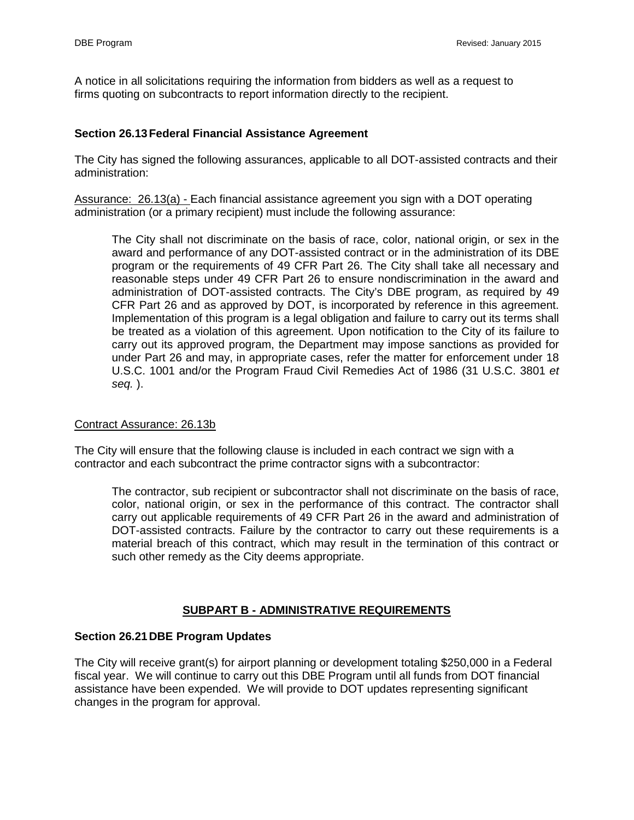A notice in all solicitations requiring the information from bidders as well as a request to firms quoting on subcontracts to report information directly to the recipient.

## **Section 26.13Federal Financial Assistance Agreement**

The City has signed the following assurances, applicable to all DOT-assisted contracts and their administration:

Assurance: 26.13(a) - Each financial assistance agreement you sign with a DOT operating administration (or a primary recipient) must include the following assurance:

The City shall not discriminate on the basis of race, color, national origin, or sex in the award and performance of any DOT-assisted contract or in the administration of its DBE program or the requirements of 49 CFR Part 26. The City shall take all necessary and reasonable steps under 49 CFR Part 26 to ensure nondiscrimination in the award and administration of DOT-assisted contracts. The City's DBE program, as required by 49 CFR Part 26 and as approved by DOT, is incorporated by reference in this agreement. Implementation of this program is a legal obligation and failure to carry out its terms shall be treated as a violation of this agreement. Upon notification to the City of its failure to carry out its approved program, the Department may impose sanctions as provided for under Part 26 and may, in appropriate cases, refer the matter for enforcement under 18 U.S.C. 1001 and/or the Program Fraud Civil Remedies Act of 1986 (31 U.S.C. 3801 *et seq.* ).

### Contract Assurance: 26.13b

The City will ensure that the following clause is included in each contract we sign with a contractor and each subcontract the prime contractor signs with a subcontractor:

The contractor, sub recipient or subcontractor shall not discriminate on the basis of race, color, national origin, or sex in the performance of this contract. The contractor shall carry out applicable requirements of 49 CFR Part 26 in the award and administration of DOT-assisted contracts. Failure by the contractor to carry out these requirements is a material breach of this contract, which may result in the termination of this contract or such other remedy as the City deems appropriate.

# **SUBPART B - ADMINISTRATIVE REQUIREMENTS**

### **Section 26.21DBE Program Updates**

The City will receive grant(s) for airport planning or development totaling \$250,000 in a Federal fiscal year. We will continue to carry out this DBE Program until all funds from DOT financial assistance have been expended. We will provide to DOT updates representing significant changes in the program for approval.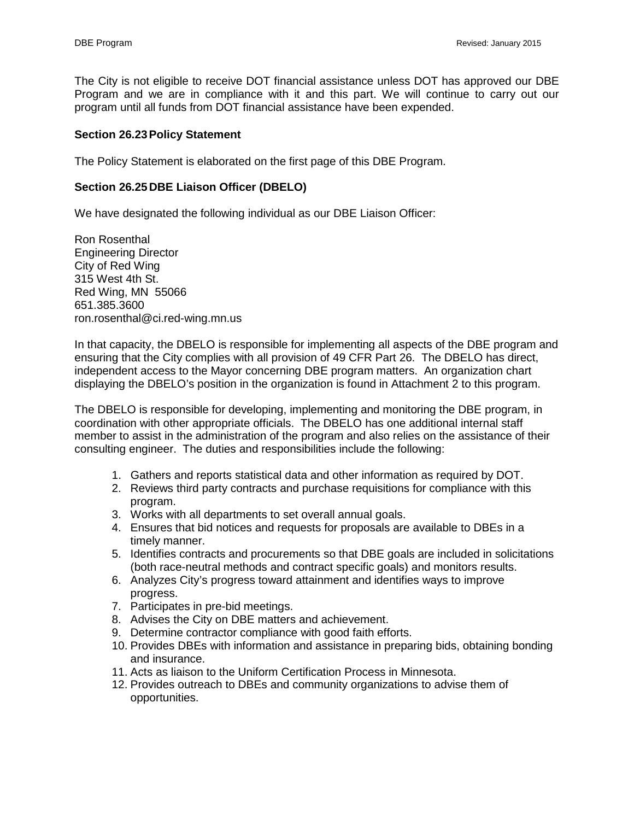The City is not eligible to receive DOT financial assistance unless DOT has approved our DBE Program and we are in compliance with it and this part. We will continue to carry out our program until all funds from DOT financial assistance have been expended.

## **Section 26.23Policy Statement**

The Policy Statement is elaborated on the first page of this DBE Program.

## **Section 26.25DBE Liaison Officer (DBELO)**

We have designated the following individual as our DBE Liaison Officer:

Ron Rosenthal Engineering Director City of Red Wing 315 West 4th St. Red Wing, MN 55066 651.385.3600 ron.rosenthal@ci.red-wing.mn.us

In that capacity, the DBELO is responsible for implementing all aspects of the DBE program and ensuring that the City complies with all provision of 49 CFR Part 26. The DBELO has direct, independent access to the Mayor concerning DBE program matters. An organization chart displaying the DBELO's position in the organization is found in Attachment 2 to this program.

The DBELO is responsible for developing, implementing and monitoring the DBE program, in coordination with other appropriate officials. The DBELO has one additional internal staff member to assist in the administration of the program and also relies on the assistance of their consulting engineer. The duties and responsibilities include the following:

- 1. Gathers and reports statistical data and other information as required by DOT.
- 2. Reviews third party contracts and purchase requisitions for compliance with this program.
- 3. Works with all departments to set overall annual goals.
- 4. Ensures that bid notices and requests for proposals are available to DBEs in a timely manner.
- 5. Identifies contracts and procurements so that DBE goals are included in solicitations (both race-neutral methods and contract specific goals) and monitors results.
- 6. Analyzes City's progress toward attainment and identifies ways to improve progress.
- 7. Participates in pre-bid meetings.
- 8. Advises the City on DBE matters and achievement.
- 9. Determine contractor compliance with good faith efforts.
- 10. Provides DBEs with information and assistance in preparing bids, obtaining bonding and insurance.
- 11. Acts as liaison to the Uniform Certification Process in Minnesota.
- 12. Provides outreach to DBEs and community organizations to advise them of opportunities.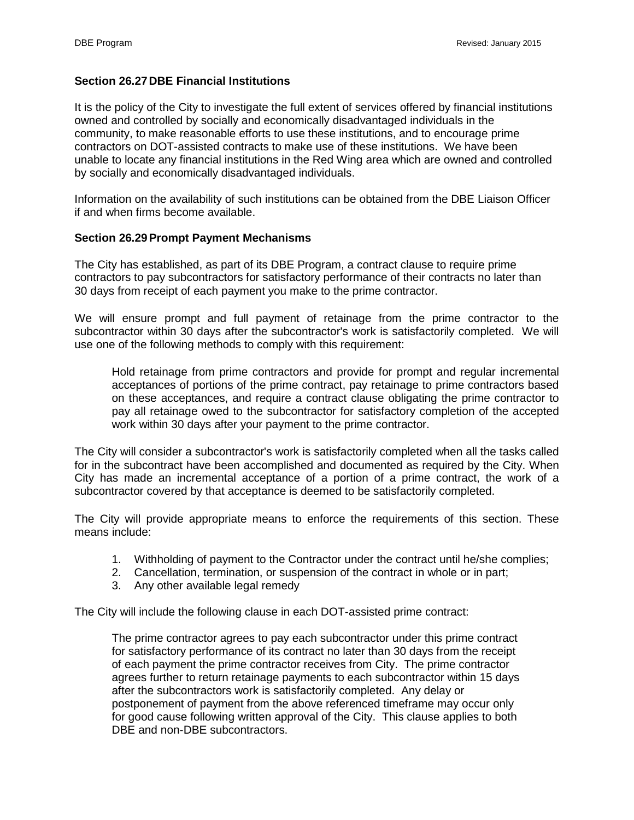# **Section 26.27DBE Financial Institutions**

It is the policy of the City to investigate the full extent of services offered by financial institutions owned and controlled by socially and economically disadvantaged individuals in the community, to make reasonable efforts to use these institutions, and to encourage prime contractors on DOT-assisted contracts to make use of these institutions. We have been unable to locate any financial institutions in the Red Wing area which are owned and controlled by socially and economically disadvantaged individuals.

Information on the availability of such institutions can be obtained from the DBE Liaison Officer if and when firms become available.

### **Section 26.29Prompt Payment Mechanisms**

The City has established, as part of its DBE Program, a contract clause to require prime contractors to pay subcontractors for satisfactory performance of their contracts no later than 30 days from receipt of each payment you make to the prime contractor.

We will ensure prompt and full payment of retainage from the prime contractor to the subcontractor within 30 days after the subcontractor's work is satisfactorily completed. We will use one of the following methods to comply with this requirement:

Hold retainage from prime contractors and provide for prompt and regular incremental acceptances of portions of the prime contract, pay retainage to prime contractors based on these acceptances, and require a contract clause obligating the prime contractor to pay all retainage owed to the subcontractor for satisfactory completion of the accepted work within 30 days after your payment to the prime contractor.

The City will consider a subcontractor's work is satisfactorily completed when all the tasks called for in the subcontract have been accomplished and documented as required by the City. When City has made an incremental acceptance of a portion of a prime contract, the work of a subcontractor covered by that acceptance is deemed to be satisfactorily completed.

The City will provide appropriate means to enforce the requirements of this section. These means include:

- 1. Withholding of payment to the Contractor under the contract until he/she complies;
- 2. Cancellation, termination, or suspension of the contract in whole or in part;
- 3. Any other available legal remedy

The City will include the following clause in each DOT-assisted prime contract:

The prime contractor agrees to pay each subcontractor under this prime contract for satisfactory performance of its contract no later than 30 days from the receipt of each payment the prime contractor receives from City. The prime contractor agrees further to return retainage payments to each subcontractor within 15 days after the subcontractors work is satisfactorily completed. Any delay or postponement of payment from the above referenced timeframe may occur only for good cause following written approval of the City. This clause applies to both DBE and non-DBE subcontractors.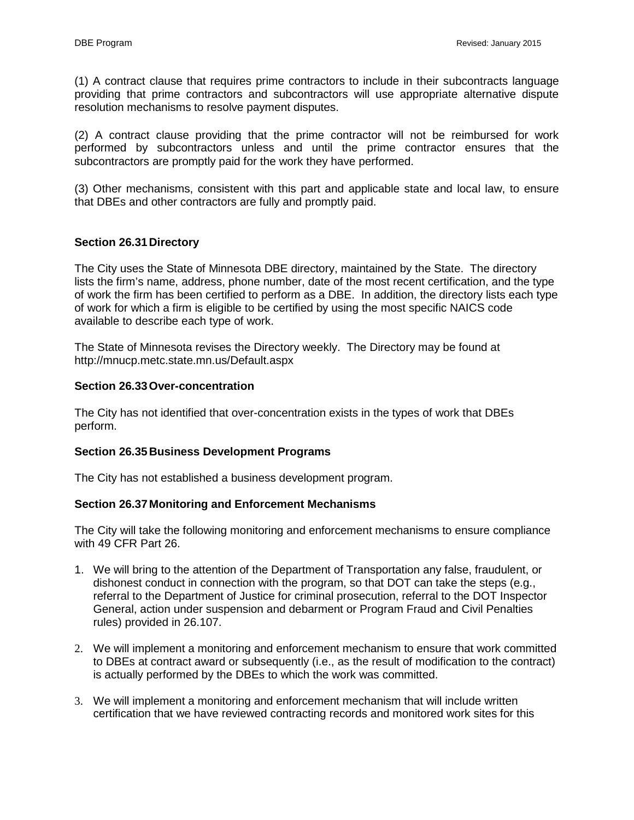(1) A contract clause that requires prime contractors to include in their subcontracts language providing that prime contractors and subcontractors will use appropriate alternative dispute resolution mechanisms to resolve payment disputes.

(2) A contract clause providing that the prime contractor will not be reimbursed for work performed by subcontractors unless and until the prime contractor ensures that the subcontractors are promptly paid for the work they have performed.

(3) Other mechanisms, consistent with this part and applicable state and local law, to ensure that DBEs and other contractors are fully and promptly paid.

# **Section 26.31Directory**

The City uses the State of Minnesota DBE directory, maintained by the State. The directory lists the firm's name, address, phone number, date of the most recent certification, and the type of work the firm has been certified to perform as a DBE. In addition, the directory lists each type of work for which a firm is eligible to be certified by using the most specific NAICS code available to describe each type of work.

The State of Minnesota revises the Directory weekly. The Directory may be found at http://mnucp.metc.state.mn.us/Default.aspx

### **Section 26.33Over-concentration**

The City has not identified that over-concentration exists in the types of work that DBEs perform.

### **Section 26.35Business Development Programs**

The City has not established a business development program.

### **Section 26.37 Monitoring and Enforcement Mechanisms**

The City will take the following monitoring and enforcement mechanisms to ensure compliance with 49 CFR Part 26.

- 1. We will bring to the attention of the Department of Transportation any false, fraudulent, or dishonest conduct in connection with the program, so that DOT can take the steps (e.g., referral to the Department of Justice for criminal prosecution, referral to the DOT Inspector General, action under suspension and debarment or Program Fraud and Civil Penalties rules) provided in 26.107.
- 2. We will implement a monitoring and enforcement mechanism to ensure that work committed to DBEs at contract award or subsequently (i.e., as the result of modification to the contract) is actually performed by the DBEs to which the work was committed.
- 3. We will implement a monitoring and enforcement mechanism that will include written certification that we have reviewed contracting records and monitored work sites for this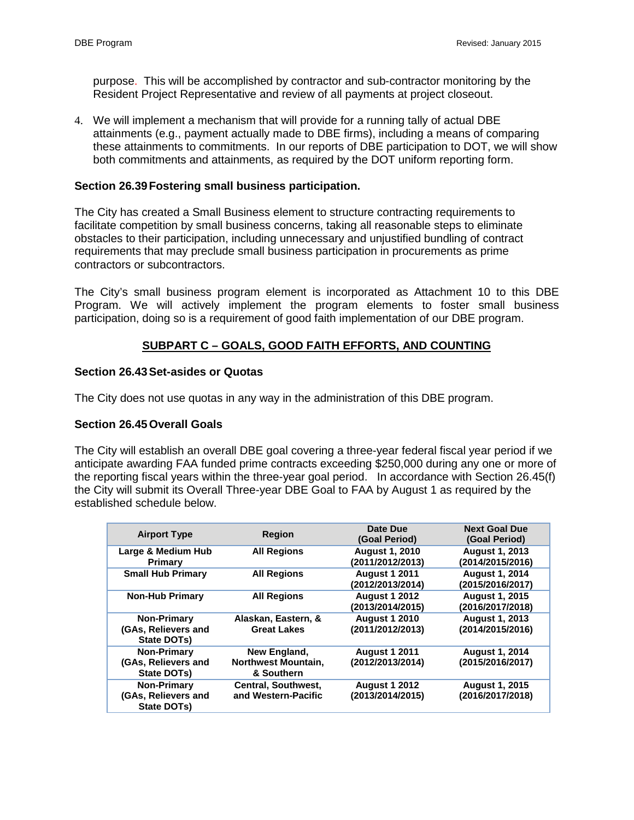purpose. This will be accomplished by contractor and sub-contractor monitoring by the Resident Project Representative and review of all payments at project closeout.

4. We will implement a mechanism that will provide for a running tally of actual DBE attainments (e.g., payment actually made to DBE firms), including a means of comparing these attainments to commitments. In our reports of DBE participation to DOT, we will show both commitments and attainments, as required by the DOT uniform reporting form.

## **Section 26.39Fostering small business participation.**

The City has created a Small Business element to structure contracting requirements to facilitate competition by small business concerns, taking all reasonable steps to eliminate obstacles to their participation, including unnecessary and unjustified bundling of contract requirements that may preclude small business participation in procurements as prime contractors or subcontractors.

The City's small business program element is incorporated as Attachment 10 to this DBE Program. We will actively implement the program elements to foster small business participation, doing so is a requirement of good faith implementation of our DBE program.

# **SUBPART C – GOALS, GOOD FAITH EFFORTS, AND COUNTING**

### **Section 26.43Set-asides or Quotas**

The City does not use quotas in any way in the administration of this DBE program.

### **Section 26.45Overall Goals**

The City will establish an overall DBE goal covering a three-year federal fiscal year period if we anticipate awarding FAA funded prime contracts exceeding \$250,000 during any one or more of the reporting fiscal years within the three-year goal period. In accordance with Section 26.45(f) the City will submit its Overall Three-year DBE Goal to FAA by August 1 as required by the established schedule below.

| <b>Airport Type</b>                               | <b>Region</b>                                            | Date Due<br>(Goal Period)                 | <b>Next Goal Due</b><br>(Goal Period)     |
|---------------------------------------------------|----------------------------------------------------------|-------------------------------------------|-------------------------------------------|
| Large & Medium Hub<br><b>Primary</b>              | <b>All Regions</b>                                       | <b>August 1, 2010</b><br>(2011/2012/2013) | <b>August 1, 2013</b><br>(2014/2015/2016) |
| <b>Small Hub Primary</b>                          | <b>All Regions</b>                                       | <b>August 1 2011</b><br>(2012/2013/2014)  | <b>August 1, 2014</b><br>(2015/2016/2017) |
| <b>Non-Hub Primary</b>                            | <b>All Regions</b>                                       | <b>August 1 2012</b><br>(2013/2014/2015)  | <b>August 1, 2015</b><br>(2016/2017/2018) |
| Non-Primary<br>(GAs, Relievers and<br>State DOTs) | Alaskan, Eastern, &<br><b>Great Lakes</b>                | <b>August 1 2010</b><br>(2011/2012/2013)  | <b>August 1, 2013</b><br>(2014/2015/2016) |
| Non-Primary<br>(GAs, Relievers and<br>State DOTs) | New England,<br><b>Northwest Mountain,</b><br>& Southern | <b>August 1 2011</b><br>(2012/2013/2014)  | <b>August 1, 2014</b><br>(2015/2016/2017) |
| Non-Primary<br>(GAs, Relievers and<br>State DOTs) | <b>Central, Southwest,</b><br>and Western-Pacific        | <b>August 1 2012</b><br>(2013/2014/2015)  | <b>August 1, 2015</b><br>(2016/2017/2018) |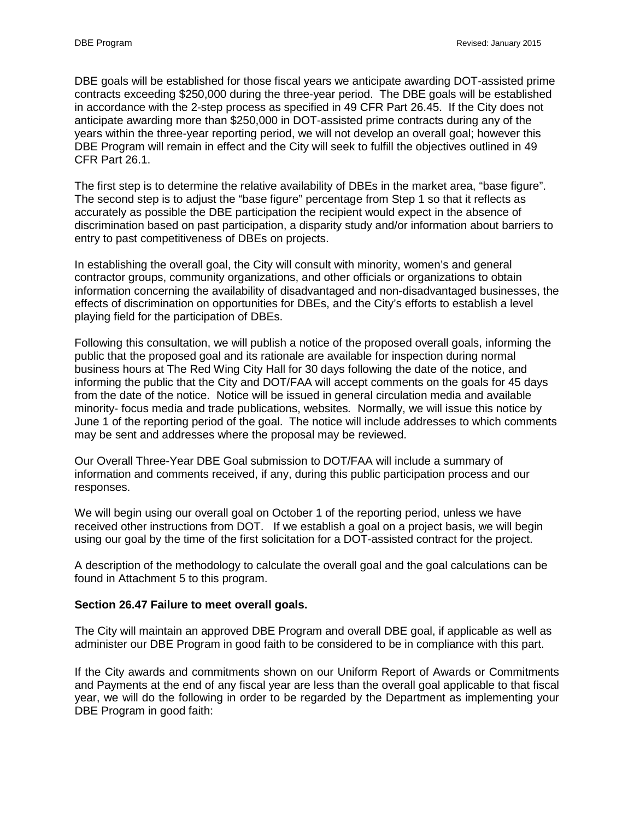DBE goals will be established for those fiscal years we anticipate awarding DOT-assisted prime contracts exceeding \$250,000 during the three-year period. The DBE goals will be established in accordance with the 2-step process as specified in 49 CFR Part 26.45. If the City does not anticipate awarding more than \$250,000 in DOT-assisted prime contracts during any of the years within the three-year reporting period, we will not develop an overall goal; however this DBE Program will remain in effect and the City will seek to fulfill the objectives outlined in 49 CFR Part 26.1.

The first step is to determine the relative availability of DBEs in the market area, "base figure". The second step is to adjust the "base figure" percentage from Step 1 so that it reflects as accurately as possible the DBE participation the recipient would expect in the absence of discrimination based on past participation, a disparity study and/or information about barriers to entry to past competitiveness of DBEs on projects.

In establishing the overall goal, the City will consult with minority, women's and general contractor groups, community organizations, and other officials or organizations to obtain information concerning the availability of disadvantaged and non-disadvantaged businesses, the effects of discrimination on opportunities for DBEs, and the City's efforts to establish a level playing field for the participation of DBEs.

Following this consultation, we will publish a notice of the proposed overall goals, informing the public that the proposed goal and its rationale are available for inspection during normal business hours at The Red Wing City Hall for 30 days following the date of the notice, and informing the public that the City and DOT/FAA will accept comments on the goals for 45 days from the date of the notice. Notice will be issued in general circulation media and available minority- focus media and trade publications, websites*.* Normally, we will issue this notice by June 1 of the reporting period of the goal. The notice will include addresses to which comments may be sent and addresses where the proposal may be reviewed.

Our Overall Three-Year DBE Goal submission to DOT/FAA will include a summary of information and comments received, if any, during this public participation process and our responses.

We will begin using our overall goal on October 1 of the reporting period, unless we have received other instructions from DOT. If we establish a goal on a project basis, we will begin using our goal by the time of the first solicitation for a DOT-assisted contract for the project.

A description of the methodology to calculate the overall goal and the goal calculations can be found in Attachment 5 to this program.

### **Section 26.47 Failure to meet overall goals.**

The City will maintain an approved DBE Program and overall DBE goal, if applicable as well as administer our DBE Program in good faith to be considered to be in compliance with this part.

If the City awards and commitments shown on our Uniform Report of Awards or Commitments and Payments at the end of any fiscal year are less than the overall goal applicable to that fiscal year, we will do the following in order to be regarded by the Department as implementing your DBE Program in good faith: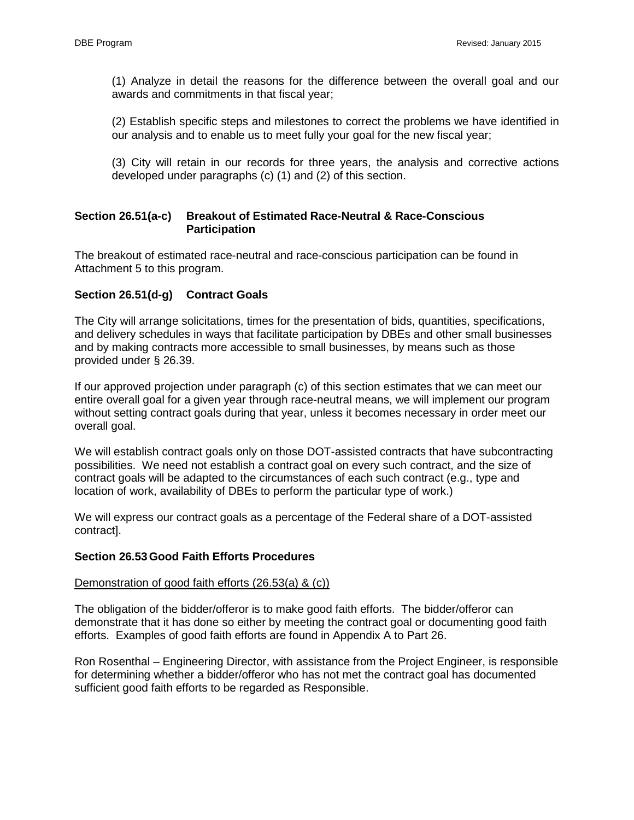(1) Analyze in detail the reasons for the difference between the overall goal and our awards and commitments in that fiscal year;

(2) Establish specific steps and milestones to correct the problems we have identified in our analysis and to enable us to meet fully your goal for the new fiscal year;

(3) City will retain in our records for three years, the analysis and corrective actions developed under paragraphs (c) (1) and (2) of this section.

### **Section 26.51(a-c) Breakout of Estimated Race-Neutral & Race-Conscious Participation**

The breakout of estimated race-neutral and race-conscious participation can be found in Attachment 5 to this program.

## **Section 26.51(d-g) Contract Goals**

The City will arrange solicitations, times for the presentation of bids, quantities, specifications, and delivery schedules in ways that facilitate participation by DBEs and other small businesses and by making contracts more accessible to small businesses, by means such as those provided under § 26.39.

If our approved projection under paragraph (c) of this section estimates that we can meet our entire overall goal for a given year through race-neutral means, we will implement our program without setting contract goals during that year, unless it becomes necessary in order meet our overall goal.

We will establish contract goals only on those DOT-assisted contracts that have subcontracting possibilities. We need not establish a contract goal on every such contract, and the size of contract goals will be adapted to the circumstances of each such contract (e.g., type and location of work, availability of DBEs to perform the particular type of work.)

We will express our contract goals as a percentage of the Federal share of a DOT-assisted contract].

### **Section 26.53Good Faith Efforts Procedures**

#### Demonstration of good faith efforts (26.53(a) & (c))

The obligation of the bidder/offeror is to make good faith efforts. The bidder/offeror can demonstrate that it has done so either by meeting the contract goal or documenting good faith efforts. Examples of good faith efforts are found in Appendix A to Part 26.

Ron Rosenthal – Engineering Director, with assistance from the Project Engineer, is responsible for determining whether a bidder/offeror who has not met the contract goal has documented sufficient good faith efforts to be regarded as Responsible.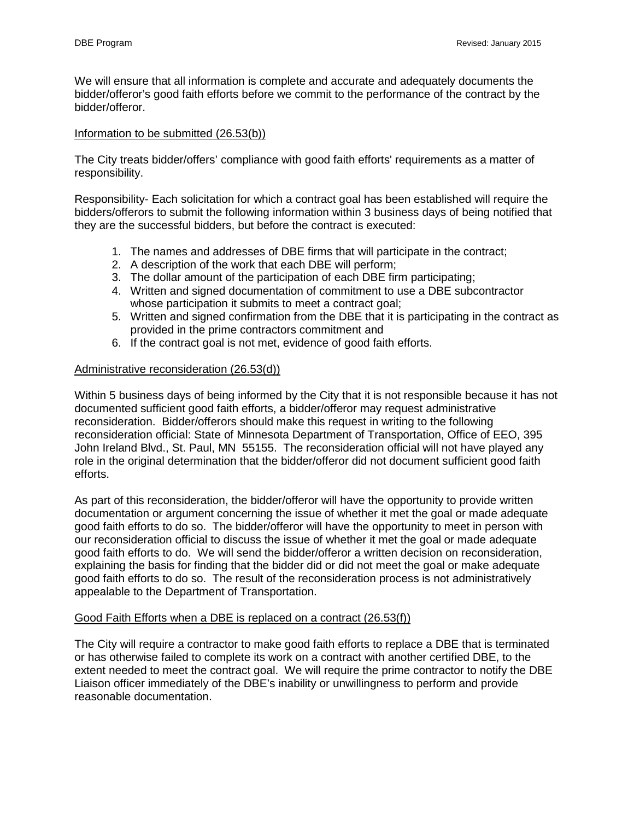We will ensure that all information is complete and accurate and adequately documents the bidder/offeror's good faith efforts before we commit to the performance of the contract by the bidder/offeror.

### Information to be submitted (26.53(b))

The City treats bidder/offers' compliance with good faith efforts' requirements as a matter of responsibility.

Responsibility- Each solicitation for which a contract goal has been established will require the bidders/offerors to submit the following information within 3 business days of being notified that they are the successful bidders, but before the contract is executed:

- 1. The names and addresses of DBE firms that will participate in the contract;
- 2. A description of the work that each DBE will perform;
- 3. The dollar amount of the participation of each DBE firm participating;
- 4. Written and signed documentation of commitment to use a DBE subcontractor whose participation it submits to meet a contract goal;
- 5. Written and signed confirmation from the DBE that it is participating in the contract as provided in the prime contractors commitment and
- 6. If the contract goal is not met, evidence of good faith efforts.

### Administrative reconsideration (26.53(d))

Within 5 business days of being informed by the City that it is not responsible because it has not documented sufficient good faith efforts, a bidder/offeror may request administrative reconsideration. Bidder/offerors should make this request in writing to the following reconsideration official: State of Minnesota Department of Transportation, Office of EEO, 395 John Ireland Blvd., St. Paul, MN 55155. The reconsideration official will not have played any role in the original determination that the bidder/offeror did not document sufficient good faith efforts.

As part of this reconsideration, the bidder/offeror will have the opportunity to provide written documentation or argument concerning the issue of whether it met the goal or made adequate good faith efforts to do so. The bidder/offeror will have the opportunity to meet in person with our reconsideration official to discuss the issue of whether it met the goal or made adequate good faith efforts to do. We will send the bidder/offeror a written decision on reconsideration, explaining the basis for finding that the bidder did or did not meet the goal or make adequate good faith efforts to do so. The result of the reconsideration process is not administratively appealable to the Department of Transportation.

### Good Faith Efforts when a DBE is replaced on a contract (26.53(f))

The City will require a contractor to make good faith efforts to replace a DBE that is terminated or has otherwise failed to complete its work on a contract with another certified DBE, to the extent needed to meet the contract goal. We will require the prime contractor to notify the DBE Liaison officer immediately of the DBE's inability or unwillingness to perform and provide reasonable documentation.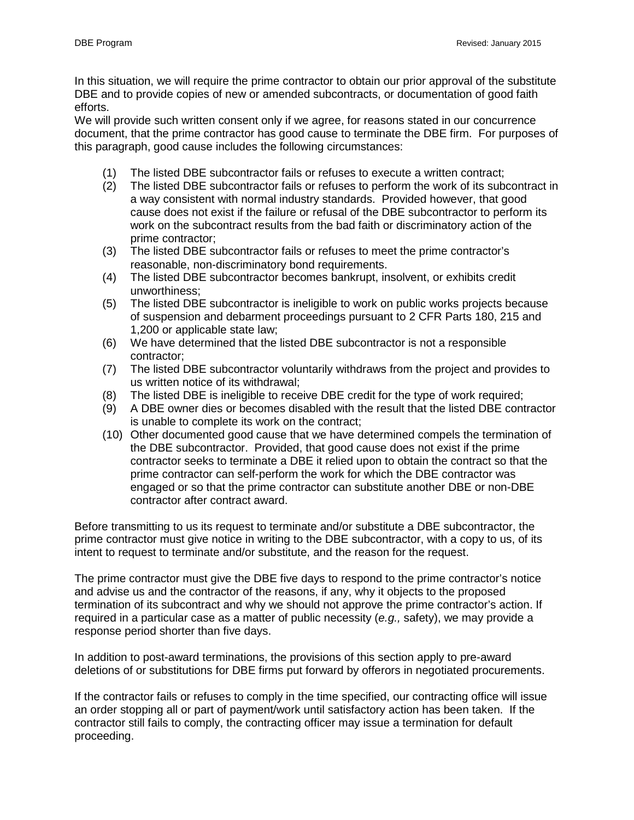In this situation, we will require the prime contractor to obtain our prior approval of the substitute DBE and to provide copies of new or amended subcontracts, or documentation of good faith efforts.

We will provide such written consent only if we agree, for reasons stated in our concurrence document, that the prime contractor has good cause to terminate the DBE firm. For purposes of this paragraph, good cause includes the following circumstances:

- (1) The listed DBE subcontractor fails or refuses to execute a written contract;
- (2) The listed DBE subcontractor fails or refuses to perform the work of its subcontract in a way consistent with normal industry standards. Provided however, that good cause does not exist if the failure or refusal of the DBE subcontractor to perform its work on the subcontract results from the bad faith or discriminatory action of the prime contractor;
- (3) The listed DBE subcontractor fails or refuses to meet the prime contractor's reasonable, non-discriminatory bond requirements.
- (4) The listed DBE subcontractor becomes bankrupt, insolvent, or exhibits credit unworthiness;
- (5) The listed DBE subcontractor is ineligible to work on public works projects because of suspension and debarment proceedings pursuant to 2 CFR Parts 180, 215 and 1,200 or applicable state law;
- (6) We have determined that the listed DBE subcontractor is not a responsible contractor;
- (7) The listed DBE subcontractor voluntarily withdraws from the project and provides to us written notice of its withdrawal;
- (8) The listed DBE is ineligible to receive DBE credit for the type of work required;
- (9) A DBE owner dies or becomes disabled with the result that the listed DBE contractor is unable to complete its work on the contract;
- (10) Other documented good cause that we have determined compels the termination of the DBE subcontractor. Provided, that good cause does not exist if the prime contractor seeks to terminate a DBE it relied upon to obtain the contract so that the prime contractor can self-perform the work for which the DBE contractor was engaged or so that the prime contractor can substitute another DBE or non-DBE contractor after contract award.

Before transmitting to us its request to terminate and/or substitute a DBE subcontractor, the prime contractor must give notice in writing to the DBE subcontractor, with a copy to us, of its intent to request to terminate and/or substitute, and the reason for the request.

The prime contractor must give the DBE five days to respond to the prime contractor's notice and advise us and the contractor of the reasons, if any, why it objects to the proposed termination of its subcontract and why we should not approve the prime contractor's action. If required in a particular case as a matter of public necessity (*e.g.,* safety), we may provide a response period shorter than five days.

In addition to post-award terminations, the provisions of this section apply to pre-award deletions of or substitutions for DBE firms put forward by offerors in negotiated procurements.

If the contractor fails or refuses to comply in the time specified, our contracting office will issue an order stopping all or part of payment/work until satisfactory action has been taken. If the contractor still fails to comply, the contracting officer may issue a termination for default proceeding.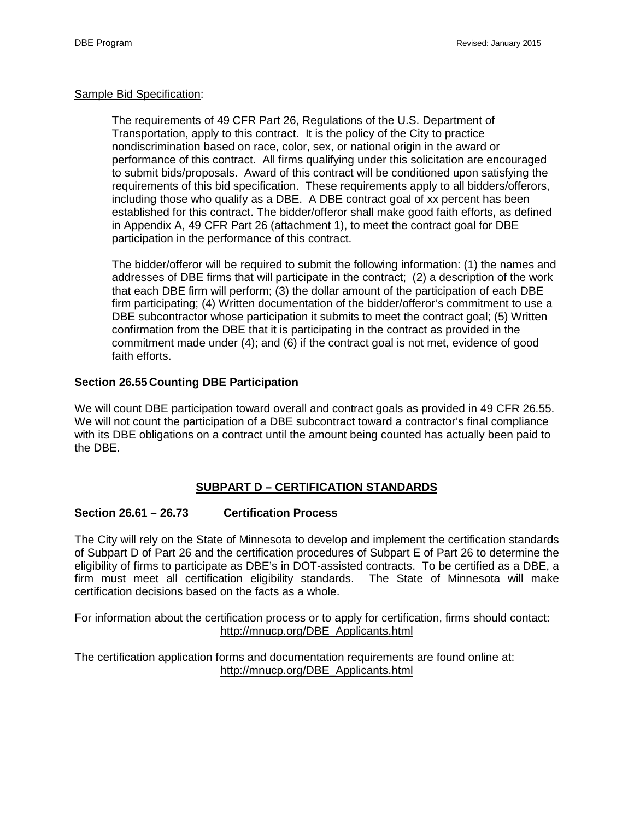### Sample Bid Specification:

The requirements of 49 CFR Part 26, Regulations of the U.S. Department of Transportation, apply to this contract. It is the policy of the City to practice nondiscrimination based on race, color, sex, or national origin in the award or performance of this contract. All firms qualifying under this solicitation are encouraged to submit bids/proposals. Award of this contract will be conditioned upon satisfying the requirements of this bid specification. These requirements apply to all bidders/offerors, including those who qualify as a DBE. A DBE contract goal of xx percent has been established for this contract. The bidder/offeror shall make good faith efforts, as defined in Appendix A, 49 CFR Part 26 (attachment 1), to meet the contract goal for DBE participation in the performance of this contract.

The bidder/offeror will be required to submit the following information: (1) the names and addresses of DBE firms that will participate in the contract; (2) a description of the work that each DBE firm will perform; (3) the dollar amount of the participation of each DBE firm participating; (4) Written documentation of the bidder/offeror's commitment to use a DBE subcontractor whose participation it submits to meet the contract goal; (5) Written confirmation from the DBE that it is participating in the contract as provided in the commitment made under (4); and (6) if the contract goal is not met, evidence of good faith efforts.

# **Section 26.55Counting DBE Participation**

We will count DBE participation toward overall and contract goals as provided in 49 CFR 26.55. We will not count the participation of a DBE subcontract toward a contractor's final compliance with its DBE obligations on a contract until the amount being counted has actually been paid to the DBE.

# **SUBPART D – CERTIFICATION STANDARDS**

# **Section 26.61 – 26.73 Certification Process**

The City will rely on the State of Minnesota to develop and implement the certification standards of Subpart D of Part 26 and the certification procedures of Subpart E of Part 26 to determine the eligibility of firms to participate as DBE's in DOT-assisted contracts. To be certified as a DBE, a firm must meet all certification eligibility standards. The State of Minnesota will make certification decisions based on the facts as a whole.

For information about the certification process or to apply for certification, firms should contact: [http://mnucp.org/DBE\\_Applicants.html](http://mnucp.org/DBE_Applicants.html)

The certification application forms and documentation requirements are found online at: [http://mnucp.org/DBE\\_Applicants.html](http://mnucp.org/DBE_Applicants.html)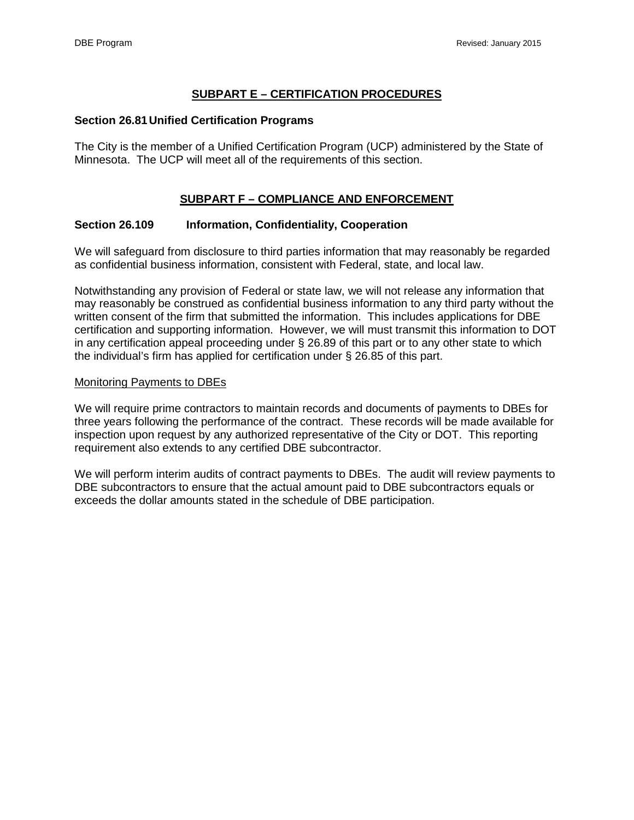# **SUBPART E – CERTIFICATION PROCEDURES**

### **Section 26.81Unified Certification Programs**

The City is the member of a Unified Certification Program (UCP) administered by the State of Minnesota. The UCP will meet all of the requirements of this section.

# **SUBPART F – COMPLIANCE AND ENFORCEMENT**

## **Section 26.109 Information, Confidentiality, Cooperation**

We will safeguard from disclosure to third parties information that may reasonably be regarded as confidential business information, consistent with Federal, state, and local law.

Notwithstanding any provision of Federal or state law, we will not release any information that may reasonably be construed as confidential business information to any third party without the written consent of the firm that submitted the information. This includes applications for DBE certification and supporting information. However, we will must transmit this information to DOT in any certification appeal proceeding under § 26.89 of this part or to any other state to which the individual's firm has applied for certification under § 26.85 of this part.

### Monitoring Payments to DBEs

We will require prime contractors to maintain records and documents of payments to DBEs for three years following the performance of the contract. These records will be made available for inspection upon request by any authorized representative of the City or DOT. This reporting requirement also extends to any certified DBE subcontractor.

We will perform interim audits of contract payments to DBEs. The audit will review payments to DBE subcontractors to ensure that the actual amount paid to DBE subcontractors equals or exceeds the dollar amounts stated in the schedule of DBE participation.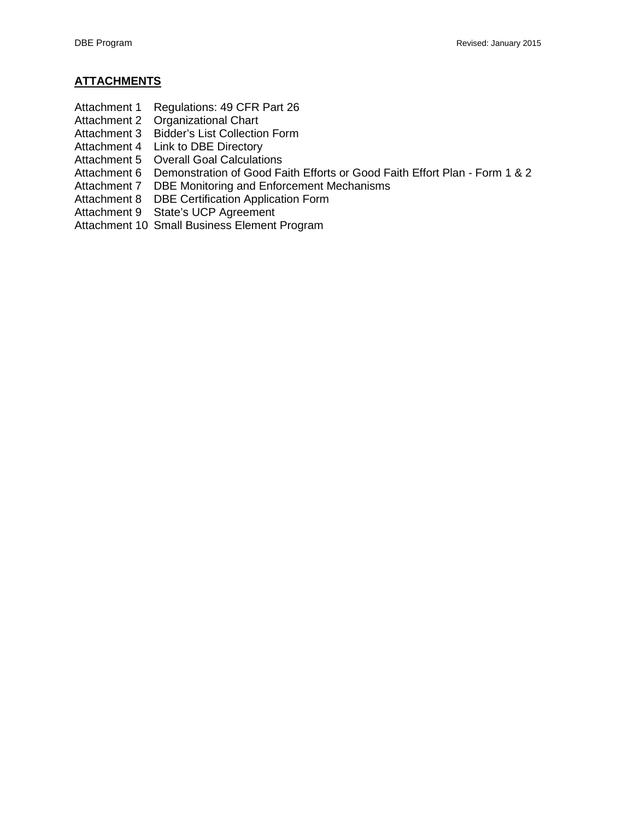- Attachment 1 Regulations: 49 CFR Part 26
- Attachment 2 Organizational Chart
- Attachment 3 Bidder's List Collection Form
- Attachment 4 Link to DBE Directory
- Attachment 5 Overall Goal Calculations
- Attachment 6 Demonstration of Good Faith Efforts or Good Faith Effort Plan Form 1 & 2
- Attachment 7 DBE Monitoring and Enforcement Mechanisms
- Attachment 8 DBE Certification Application Form
- Attachment 9 State's UCP Agreement
- Attachment 10 Small Business Element Program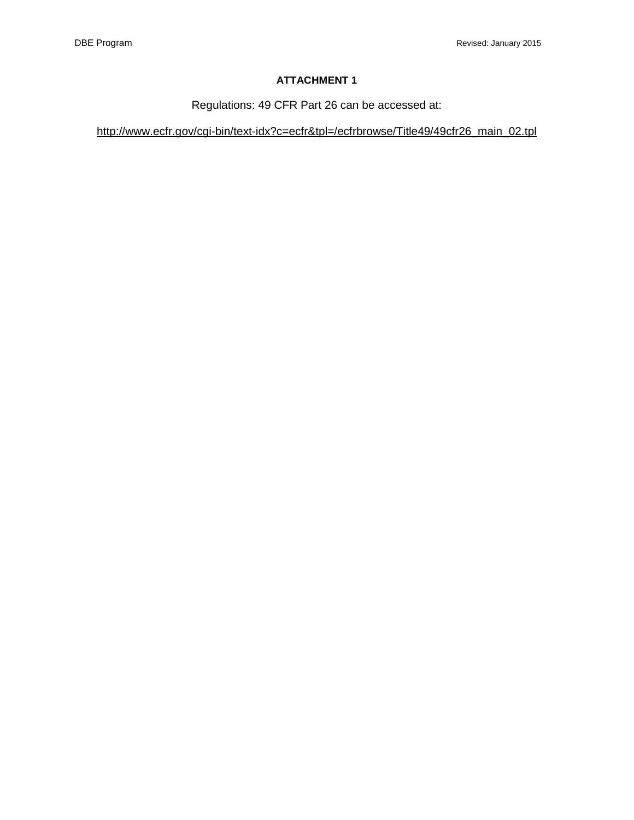Regulations: 49 CFR Part 26 can be accessed at:

[http://www.ecfr.gov/cgi-bin/text-idx?c=ecfr&tpl=/ecfrbrowse/Title49/49cfr26\\_main\\_02.tpl](http://www.ecfr.gov/cgi-bin/text-idx?c=ecfr&tpl=/ecfrbrowse/Title49/49cfr26_main_02.tpl)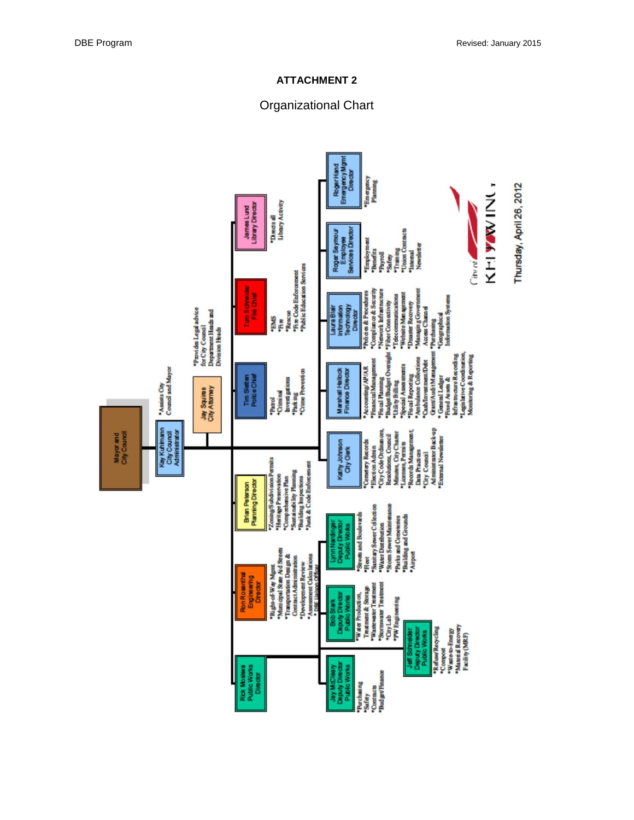# Organizational Chart

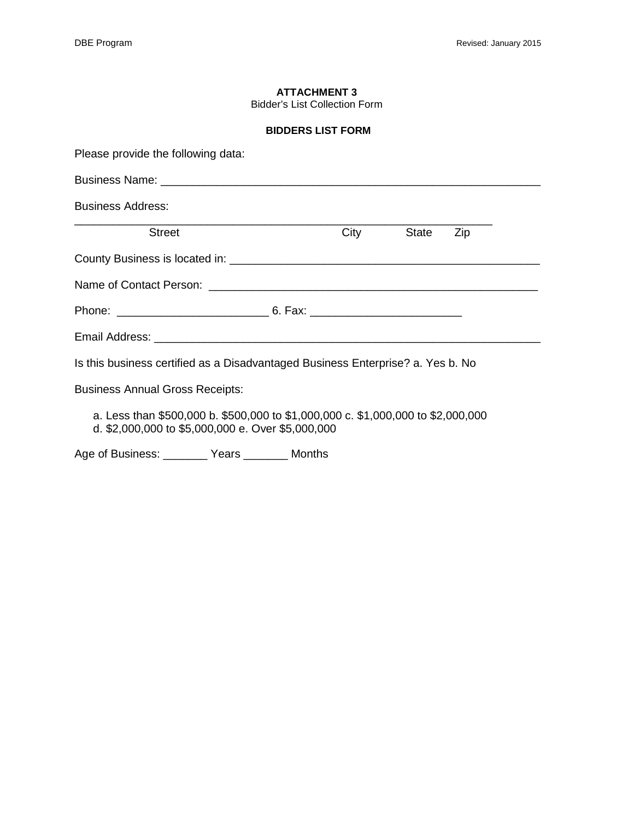Bidder's List Collection Form

#### **BIDDERS LIST FORM**

| Please provide the following data:                                              |  |                |  |
|---------------------------------------------------------------------------------|--|----------------|--|
|                                                                                 |  |                |  |
| <b>Business Address:</b>                                                        |  |                |  |
| <b>Street</b>                                                                   |  | City State Zip |  |
|                                                                                 |  |                |  |
|                                                                                 |  |                |  |
|                                                                                 |  |                |  |
|                                                                                 |  |                |  |
| Is this business certified as a Disadvantaged Business Enterprise? a. Yes b. No |  |                |  |

Business Annual Gross Receipts:

a. Less than \$500,000 b. \$500,000 to \$1,000,000 c. \$1,000,000 to \$2,000,000 d. \$2,000,000 to \$5,000,000 e. Over \$5,000,000

Age of Business: \_\_\_\_\_\_\_ Years \_\_\_\_\_\_\_ Months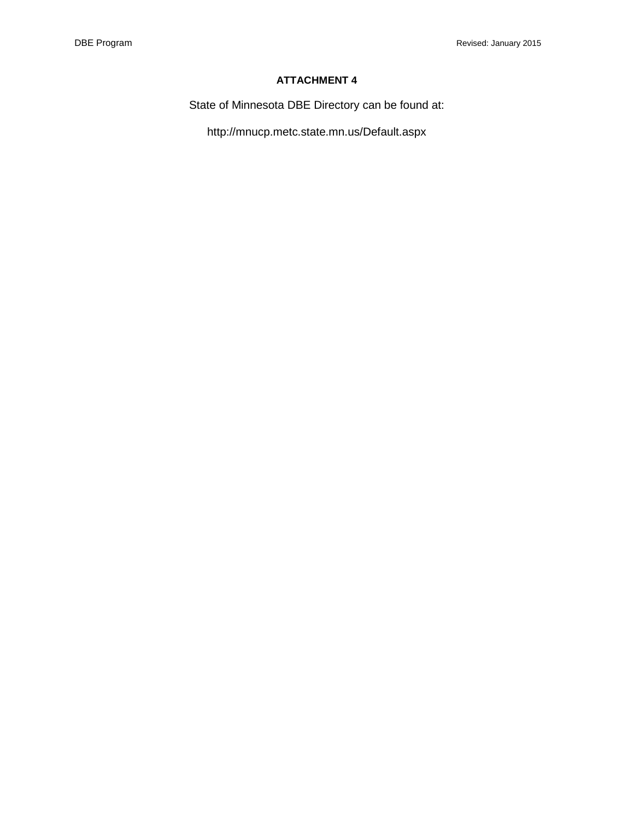State of Minnesota DBE Directory can be found at:

http://mnucp.metc.state.mn.us/Default.aspx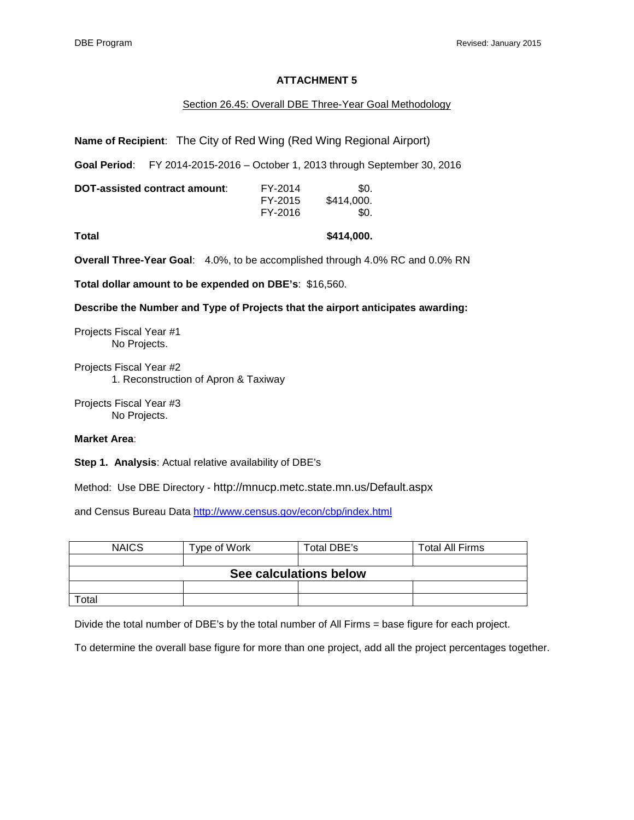#### Section 26.45: Overall DBE Three-Year Goal Methodology

**Name of Recipient**: The City of Red Wing (Red Wing Regional Airport)

**Goal Period**: FY 2014-2015-2016 – October 1, 2013 through September 30, 2016

| DOT-assisted contract amount: | FY-2014 | \$0.       |
|-------------------------------|---------|------------|
|                               | FY-2015 | \$414.000. |
|                               | FY-2016 | \$0.       |

**Total \$414,000.** 

**Overall Three-Year Goal**: 4.0%, to be accomplished through 4.0% RC and 0.0% RN

**Total dollar amount to be expended on DBE's**: \$16,560.

**Describe the Number and Type of Projects that the airport anticipates awarding:**

Projects Fiscal Year #1 No Projects.

Projects Fiscal Year #2 1. Reconstruction of Apron & Taxiway

Projects Fiscal Year #3 No Projects.

#### **Market Area**:

**Step 1. Analysis**: Actual relative availability of DBE's

Method: Use DBE Directory - http://mnucp.metc.state.mn.us/Default.aspx

and Census Bureau Data<http://www.census.gov/econ/cbp/index.html>

| <b>NAICS</b>           | Type of Work | Total DBE's | <b>Total All Firms</b> |  |  |  |
|------------------------|--------------|-------------|------------------------|--|--|--|
|                        |              |             |                        |  |  |  |
| See calculations below |              |             |                        |  |  |  |
|                        |              |             |                        |  |  |  |
| ™otal                  |              |             |                        |  |  |  |

Divide the total number of DBE's by the total number of All Firms = base figure for each project.

To determine the overall base figure for more than one project, add all the project percentages together.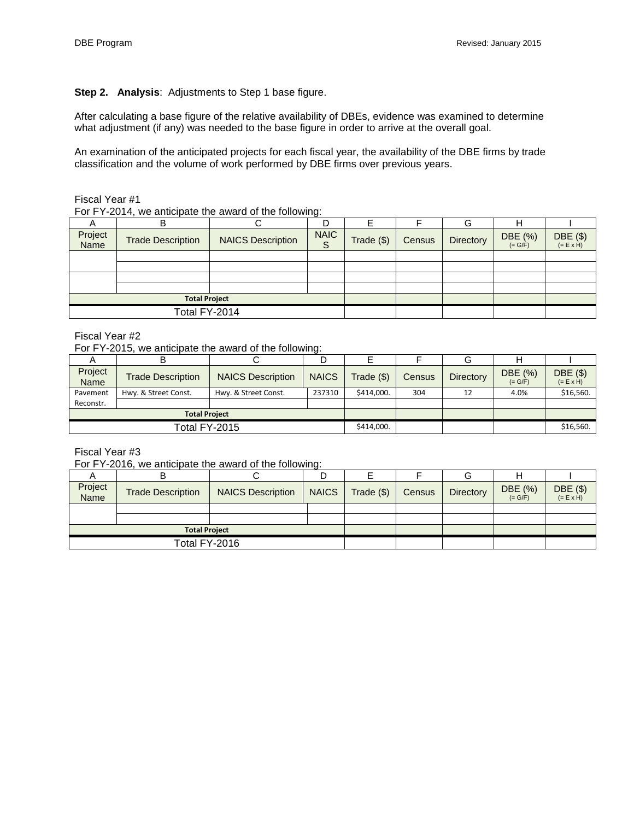### **Step 2. Analysis**: Adjustments to Step 1 base figure.

After calculating a base figure of the relative availability of DBEs, evidence was examined to determine what adjustment (if any) was needed to the base figure in order to arrive at the overall goal.

An examination of the anticipated projects for each fiscal year, the availability of the DBE firms by trade classification and the volume of work performed by DBE firms over previous years.

Fiscal Year #1

For FY-2014, we anticipate the award of the following:

|                 |                          |                          | ັ                |            |        | G         |                      |                         |
|-----------------|--------------------------|--------------------------|------------------|------------|--------|-----------|----------------------|-------------------------|
| Project<br>Name | <b>Trade Description</b> | <b>NAICS Description</b> | <b>NAIC</b><br>S | Trade (\$) | Census | Directory | DBE (%)<br>$(= G/F)$ | DBE $(\$)$<br>(= E x H) |
|                 |                          |                          |                  |            |        |           |                      |                         |
|                 |                          |                          |                  |            |        |           |                      |                         |
|                 |                          |                          |                  |            |        |           |                      |                         |
|                 |                          |                          |                  |            |        |           |                      |                         |
|                 | <b>Total Project</b>     |                          |                  |            |        |           |                      |                         |
|                 | Total FY-2014            |                          |                  |            |        |           |                      |                         |

#### Fiscal Year #2

For FY-2015, we anticipate the award of the following:

|                        |                          |                          |              |              |        | G                |                      |                             |
|------------------------|--------------------------|--------------------------|--------------|--------------|--------|------------------|----------------------|-----------------------------|
| Project<br><b>Name</b> | <b>Trade Description</b> | <b>NAICS Description</b> | <b>NAICS</b> | $Trace($ \$) | Census | <b>Directory</b> | DBE (%)<br>$(= G/F)$ | DBE(\$)<br>$(= E \times H)$ |
| Pavement               | Hwy. & Street Const.     | Hwy. & Street Const.     | 237310       | \$414,000.   | 304    | 12               | 4.0%                 | \$16,560.                   |
| Reconstr.              |                          |                          |              |              |        |                  |                      |                             |
|                        | <b>Total Project</b>     |                          |              |              |        |                  |                      |                             |
| Total FY-2015          |                          |                          | \$414,000.   |              |        |                  | \$16,560.            |                             |

Fiscal Year #3

For FY-2016, we anticipate the award of the following:

| Project<br>Name | <b>Trade Description</b> | <b>NAICS Description</b> | <b>NAICS</b> | Trade $(\$)$ | Census | <b>Directory</b> | DBE (%)<br>$(= G/F)$ | DBE $(\$)$<br>(= E x H) |
|-----------------|--------------------------|--------------------------|--------------|--------------|--------|------------------|----------------------|-------------------------|
|                 |                          |                          |              |              |        |                  |                      |                         |
|                 |                          |                          |              |              |        |                  |                      |                         |
|                 | <b>Total Project</b>     |                          |              |              |        |                  |                      |                         |
|                 | Total FY-2016            |                          |              |              |        |                  |                      |                         |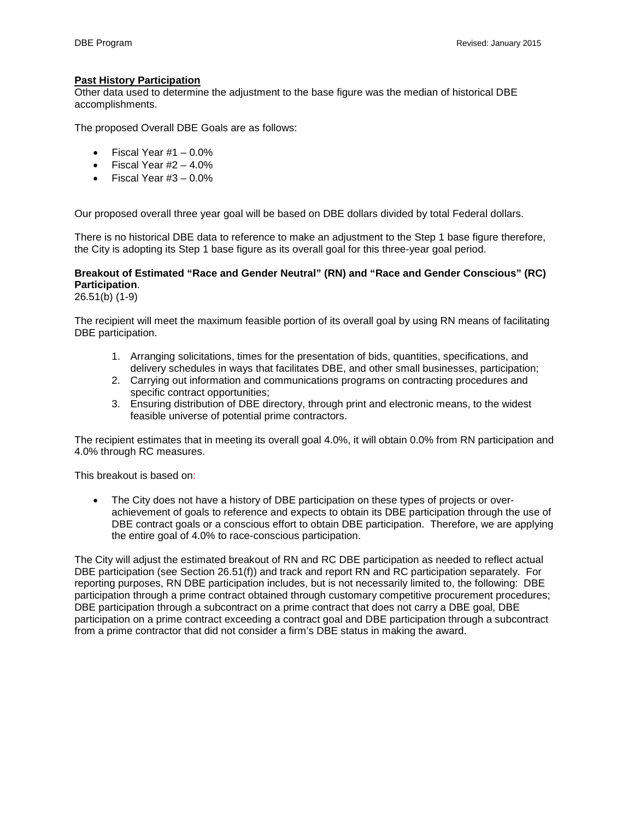#### **Past History Participation**

Other data used to determine the adjustment to the base figure was the median of historical DBE accomplishments.

The proposed Overall DBE Goals are as follows:

- Fiscal Year  $#1 0.0\%$
- Fiscal Year  $#2 4.0\%$
- Fiscal Year  $#3 0.0\%$

Our proposed overall three year goal will be based on DBE dollars divided by total Federal dollars.

There is no historical DBE data to reference to make an adjustment to the Step 1 base figure therefore, the City is adopting its Step 1 base figure as its overall goal for this three-year goal period.

# **Breakout of Estimated "Race and Gender Neutral" (RN) and "Race and Gender Conscious" (RC) Participation**.

26.51(b) (1-9)

The recipient will meet the maximum feasible portion of its overall goal by using RN means of facilitating DBE participation.

- 1. Arranging solicitations, times for the presentation of bids, quantities, specifications, and delivery schedules in ways that facilitates DBE, and other small businesses, participation;
- 2. Carrying out information and communications programs on contracting procedures and specific contract opportunities;
- 3. Ensuring distribution of DBE directory, through print and electronic means, to the widest feasible universe of potential prime contractors.

The recipient estimates that in meeting its overall goal 4.0%, it will obtain 0.0% from RN participation and 4.0% through RC measures.

This breakout is based on:

The City does not have a history of DBE participation on these types of projects or overachievement of goals to reference and expects to obtain its DBE participation through the use of DBE contract goals or a conscious effort to obtain DBE participation. Therefore, we are applying the entire goal of 4.0% to race-conscious participation.

The City will adjust the estimated breakout of RN and RC DBE participation as needed to reflect actual DBE participation (see Section 26.51(f)) and track and report RN and RC participation separately. For reporting purposes, RN DBE participation includes, but is not necessarily limited to, the following: DBE participation through a prime contract obtained through customary competitive procurement procedures; DBE participation through a subcontract on a prime contract that does not carry a DBE goal, DBE participation on a prime contract exceeding a contract goal and DBE participation through a subcontract from a prime contractor that did not consider a firm's DBE status in making the award.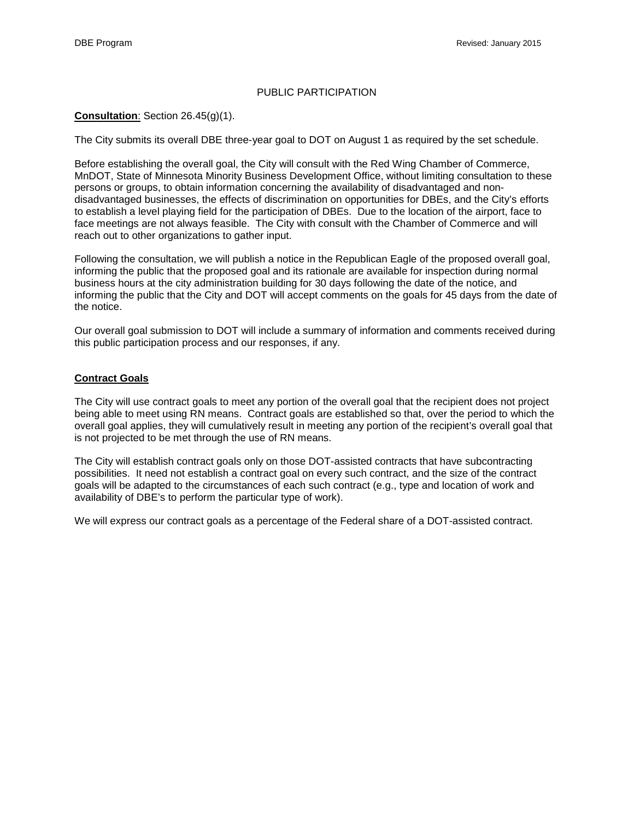#### PUBLIC PARTICIPATION

#### **Consultation**: Section 26.45(g)(1).

The City submits its overall DBE three-year goal to DOT on August 1 as required by the set schedule.

Before establishing the overall goal, the City will consult with the Red Wing Chamber of Commerce, MnDOT, State of Minnesota Minority Business Development Office, without limiting consultation to these persons or groups, to obtain information concerning the availability of disadvantaged and nondisadvantaged businesses, the effects of discrimination on opportunities for DBEs, and the City's efforts to establish a level playing field for the participation of DBEs. Due to the location of the airport, face to face meetings are not always feasible. The City with consult with the Chamber of Commerce and will reach out to other organizations to gather input.

Following the consultation, we will publish a notice in the Republican Eagle of the proposed overall goal, informing the public that the proposed goal and its rationale are available for inspection during normal business hours at the city administration building for 30 days following the date of the notice, and informing the public that the City and DOT will accept comments on the goals for 45 days from the date of the notice.

Our overall goal submission to DOT will include a summary of information and comments received during this public participation process and our responses, if any.

#### **Contract Goals**

The City will use contract goals to meet any portion of the overall goal that the recipient does not project being able to meet using RN means. Contract goals are established so that, over the period to which the overall goal applies, they will cumulatively result in meeting any portion of the recipient's overall goal that is not projected to be met through the use of RN means.

The City will establish contract goals only on those DOT-assisted contracts that have subcontracting possibilities. It need not establish a contract goal on every such contract, and the size of the contract goals will be adapted to the circumstances of each such contract (e.g., type and location of work and availability of DBE's to perform the particular type of work).

We will express our contract goals as a percentage of the Federal share of a DOT-assisted contract.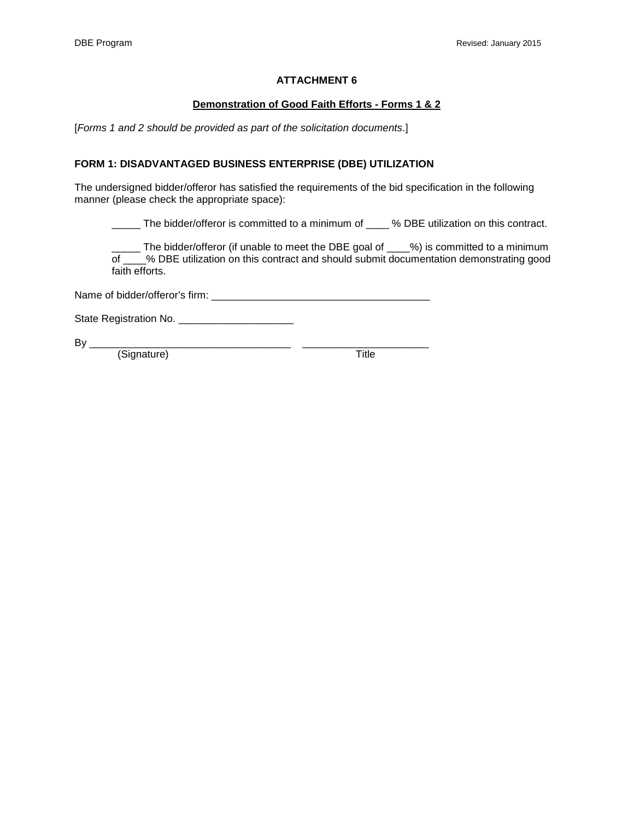#### **Demonstration of Good Faith Efforts - Forms 1 & 2**

[*Forms 1 and 2 should be provided as part of the solicitation documents*.]

#### **FORM 1: DISADVANTAGED BUSINESS ENTERPRISE (DBE) UTILIZATION**

The undersigned bidder/offeror has satisfied the requirements of the bid specification in the following manner (please check the appropriate space):

\_\_\_\_\_ The bidder/offeror is committed to a minimum of \_\_\_\_ % DBE utilization on this contract.

\_\_\_\_\_ The bidder/offeror (if unable to meet the DBE goal of \_\_\_\_%) is committed to a minimum of \_\_\_\_% DBE utilization on this contract and should submit documentation demonstrating good faith efforts.

Name of bidder/offeror's firm: \_\_\_\_\_\_\_\_\_\_\_\_\_\_\_\_\_\_\_\_\_\_\_\_\_\_\_\_\_\_\_\_\_\_\_\_\_\_

State Registration No. \_\_\_\_\_\_\_\_\_\_\_\_\_\_\_\_\_\_\_\_

By \_\_\_\_\_\_\_\_\_\_\_\_\_\_\_\_\_\_\_\_\_\_\_\_\_\_\_\_\_\_\_\_\_\_\_ \_\_\_\_\_\_\_\_\_\_\_\_\_\_\_\_\_\_\_\_\_\_

(Signature) Title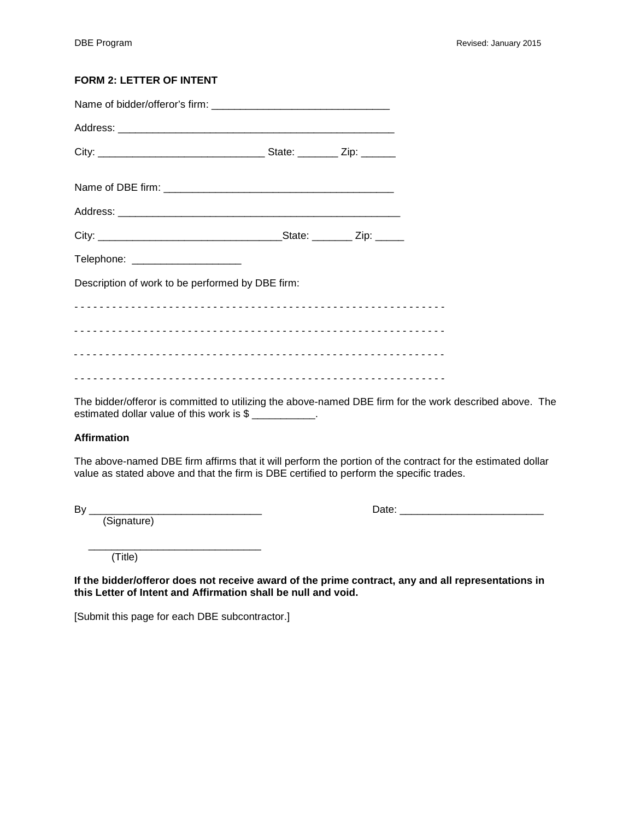# **FORM 2: LETTER OF INTENT**

| Telephone: ____________________                  |  |  |
|--------------------------------------------------|--|--|
| Description of work to be performed by DBE firm: |  |  |
|                                                  |  |  |
|                                                  |  |  |
|                                                  |  |  |
|                                                  |  |  |
|                                                  |  |  |

The bidder/offeror is committed to utilizing the above-named DBE firm for the work described above. The estimated dollar value of this work is \$

#### **Affirmation**

The above-named DBE firm affirms that it will perform the portion of the contract for the estimated dollar value as stated above and that the firm is DBE certified to perform the specific trades.

(Signature)

By \_\_\_\_\_\_\_\_\_\_\_\_\_\_\_\_\_\_\_\_\_\_\_\_\_\_\_\_\_\_ Date: \_\_\_\_\_\_\_\_\_\_\_\_\_\_\_\_\_\_\_\_\_\_\_\_\_

(Title)

**If the bidder/offeror does not receive award of the prime contract, any and all representations in this Letter of Intent and Affirmation shall be null and void.**

[Submit this page for each DBE subcontractor.]

\_\_\_\_\_\_\_\_\_\_\_\_\_\_\_\_\_\_\_\_\_\_\_\_\_\_\_\_\_\_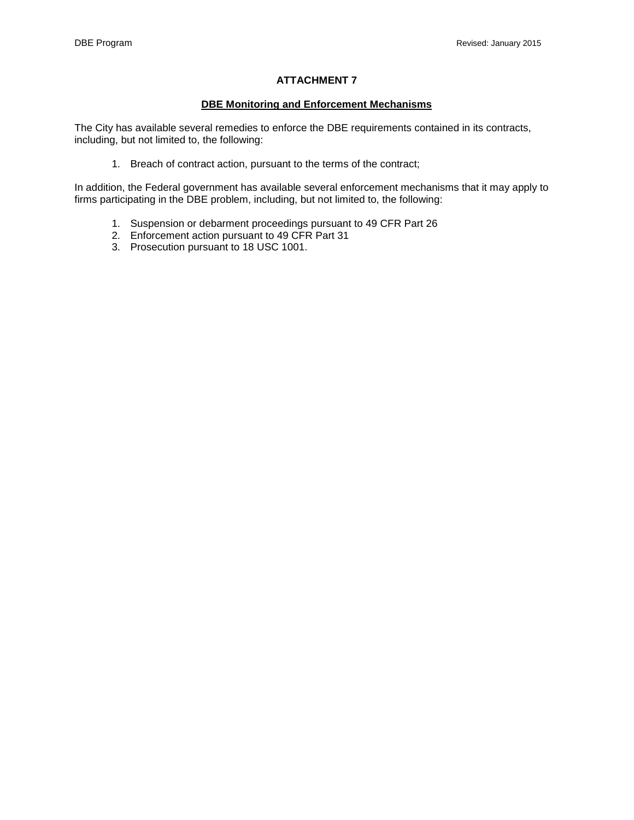#### **DBE Monitoring and Enforcement Mechanisms**

The City has available several remedies to enforce the DBE requirements contained in its contracts, including, but not limited to, the following:

1. Breach of contract action, pursuant to the terms of the contract;

In addition, the Federal government has available several enforcement mechanisms that it may apply to firms participating in the DBE problem, including, but not limited to, the following:

- 1. Suspension or debarment proceedings pursuant to 49 CFR Part 26
- 2. Enforcement action pursuant to 49 CFR Part 31
- 3. Prosecution pursuant to 18 USC 1001.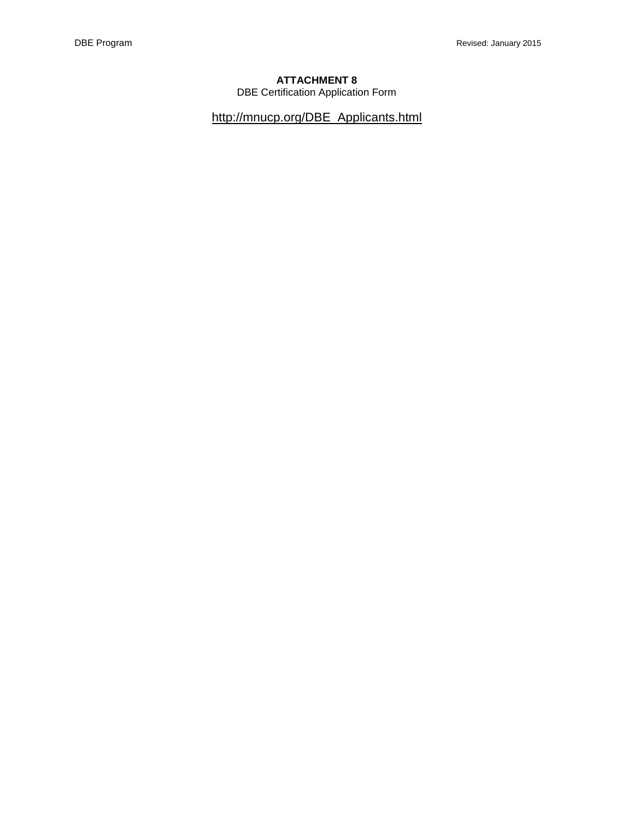DBE Certification Application Form

[http://mnucp.org/DBE\\_Applicants.html](http://mnucp.org/DBE_Applicants.html)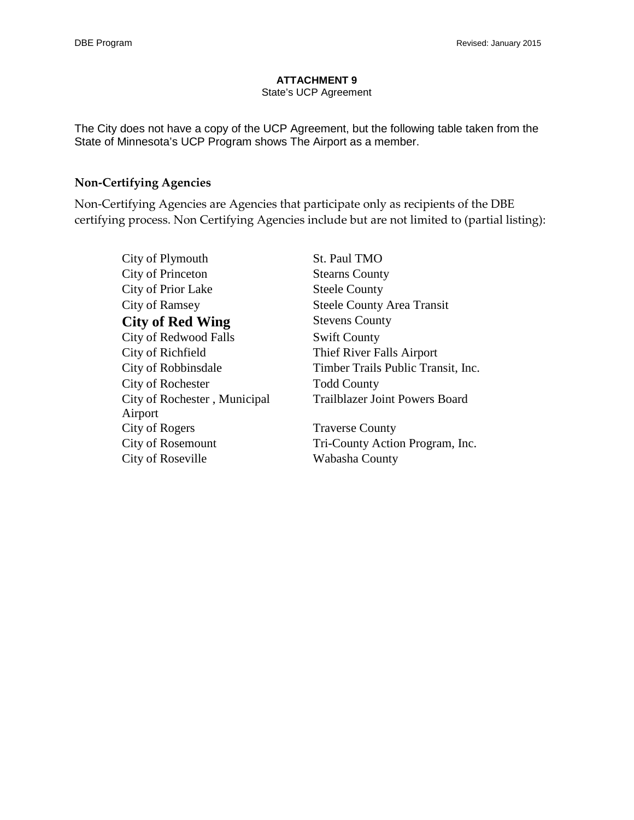#### State's UCP Agreement

The City does not have a copy of the UCP Agreement, but the following table taken from the State of Minnesota's UCP Program shows The Airport as a member.

# **Non‐Certifying Agencies**

Non‐Certifying Agencies are Agencies that participate only as recipients of the DBE certifying process. Non Certifying Agencies include but are not limited to (partial listing):

City of Plymouth St. Paul TMO City of Princeton Stearns County City of Prior Lake Steele County City of Ramsey Steele County Area Transit **City of Red Wing Stevens County** City of Redwood Falls Swift County City of Richfield Thief River Falls Airport City of Robbinsdale Timber Trails Public Transit, Inc. City of Rochester Todd County City of Rochester , Municipal Airport Trailblazer Joint Powers Board City of Rogers Traverse County City of Rosemount Tri-County Action Program, Inc. City of Roseville Wabasha County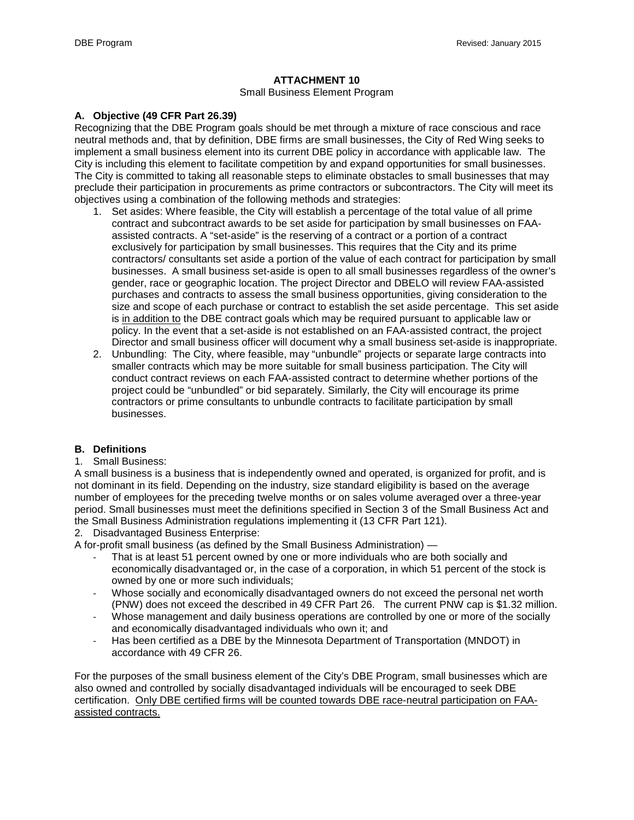#### Small Business Element Program

#### **A. Objective (49 CFR Part 26.39)**

Recognizing that the DBE Program goals should be met through a mixture of race conscious and race neutral methods and, that by definition, DBE firms are small businesses, the City of Red Wing seeks to implement a small business element into its current DBE policy in accordance with applicable law. The City is including this element to facilitate competition by and expand opportunities for small businesses. The City is committed to taking all reasonable steps to eliminate obstacles to small businesses that may preclude their participation in procurements as prime contractors or subcontractors. The City will meet its objectives using a combination of the following methods and strategies:

- 1. Set asides: Where feasible, the City will establish a percentage of the total value of all prime contract and subcontract awards to be set aside for participation by small businesses on FAAassisted contracts. A "set-aside" is the reserving of a contract or a portion of a contract exclusively for participation by small businesses. This requires that the City and its prime contractors/ consultants set aside a portion of the value of each contract for participation by small businesses. A small business set-aside is open to all small businesses regardless of the owner's gender, race or geographic location. The project Director and DBELO will review FAA-assisted purchases and contracts to assess the small business opportunities, giving consideration to the size and scope of each purchase or contract to establish the set aside percentage. This set aside is in addition to the DBE contract goals which may be required pursuant to applicable law or policy. In the event that a set-aside is not established on an FAA-assisted contract, the project Director and small business officer will document why a small business set-aside is inappropriate.
- 2. Unbundling:The City, where feasible, may "unbundle" projects or separate large contracts into smaller contracts which may be more suitable for small business participation. The City will conduct contract reviews on each FAA-assisted contract to determine whether portions of the project could be "unbundled" or bid separately. Similarly, the City will encourage its prime contractors or prime consultants to unbundle contracts to facilitate participation by small businesses.

### **B. Definitions**

#### 1. Small Business:

A small business is a business that is independently owned and operated, is organized for profit, and is not dominant in its field. Depending on the industry, size standard eligibility is based on the average number of employees for the preceding twelve months or on sales volume averaged over a three-year period. Small businesses must meet the definitions specified in Section 3 of the Small Business Act and the Small Business Administration regulations implementing it (13 CFR Part 121).

2. Disadvantaged Business Enterprise:

A for-profit small business (as defined by the Small Business Administration) —

- That is at least 51 percent owned by one or more individuals who are both socially and economically disadvantaged or, in the case of a corporation, in which 51 percent of the stock is owned by one or more such individuals;
- Whose socially and economically disadvantaged owners do not exceed the personal net worth (PNW) does not exceed the described in 49 CFR Part 26. The current PNW cap is \$1.32 million.
- Whose management and daily business operations are controlled by one or more of the socially and economically disadvantaged individuals who own it; and
- Has been certified as a DBE by the Minnesota Department of Transportation (MNDOT) in accordance with 49 CFR 26.

For the purposes of the small business element of the City's DBE Program, small businesses which are also owned and controlled by socially disadvantaged individuals will be encouraged to seek DBE certification. Only DBE certified firms will be counted towards DBE race-neutral participation on FAAassisted contracts.